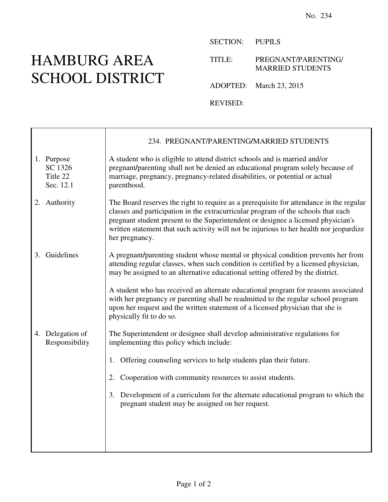## HAMBURG AREA SCHOOL DISTRICT

 $\mathbf{I}$ 

 $\Gamma$ 

SECTION: PUPILS

TITLE: PREGNANT/PARENTING/ MARRIED STUDENTS

ADOPTED: March 23, 2015

REVISED:

|    |                                                | 234. PREGNANT/PARENTING/MARRIED STUDENTS                                                                                                                                                                                                                                                                                                                                       |
|----|------------------------------------------------|--------------------------------------------------------------------------------------------------------------------------------------------------------------------------------------------------------------------------------------------------------------------------------------------------------------------------------------------------------------------------------|
|    | 1. Purpose<br>SC 1326<br>Title 22<br>Sec. 12.1 | A student who is eligible to attend district schools and is married and/or<br>pregnant/parenting shall not be denied an educational program solely because of<br>marriage, pregnancy, pregnancy-related disabilities, or potential or actual<br>parenthood.                                                                                                                    |
|    | 2. Authority                                   | The Board reserves the right to require as a prerequisite for attendance in the regular<br>classes and participation in the extracurricular program of the schools that each<br>pregnant student present to the Superintendent or designee a licensed physician's<br>written statement that such activity will not be injurious to her health nor jeopardize<br>her pregnancy. |
| 3. | Guidelines                                     | A pregnant/parenting student whose mental or physical condition prevents her from<br>attending regular classes, when such condition is certified by a licensed physician,<br>may be assigned to an alternative educational setting offered by the district.                                                                                                                    |
|    |                                                | A student who has received an alternate educational program for reasons associated<br>with her pregnancy or parenting shall be readmitted to the regular school program<br>upon her request and the written statement of a licensed physician that she is<br>physically fit to do so.                                                                                          |
|    | 4. Delegation of<br>Responsibility             | The Superintendent or designee shall develop administrative regulations for<br>implementing this policy which include:                                                                                                                                                                                                                                                         |
|    |                                                | Offering counseling services to help students plan their future.<br>1.                                                                                                                                                                                                                                                                                                         |
|    |                                                | Cooperation with community resources to assist students.<br>2.                                                                                                                                                                                                                                                                                                                 |
|    |                                                | Development of a curriculum for the alternate educational program to which the<br>3.<br>pregnant student may be assigned on her request.                                                                                                                                                                                                                                       |
|    |                                                |                                                                                                                                                                                                                                                                                                                                                                                |
|    |                                                |                                                                                                                                                                                                                                                                                                                                                                                |